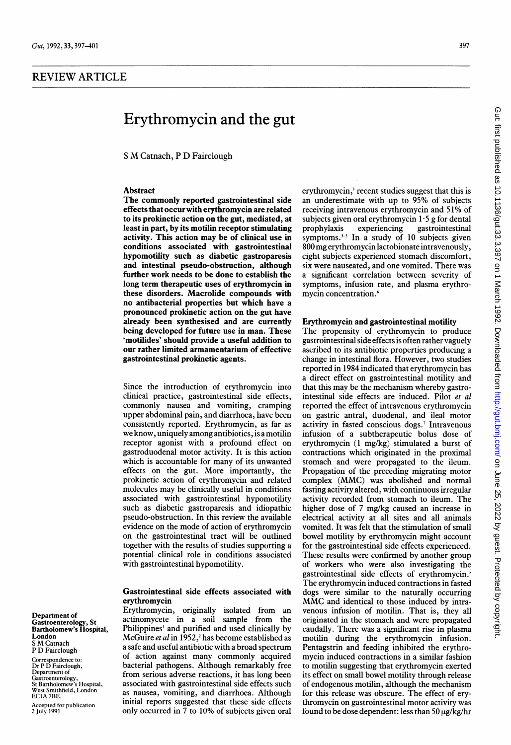# REVIEW ARTICLE

# Erythromycin and the gut

<sup>S</sup> M Catnach, <sup>P</sup> D Fairclough

# Abstract

The commonly reported gastrointestinal side effects-that occur with erythromycin are related to its prokinetic action on the gut, mediated, at least in part, by its motilin receptor stimulating activity. This action may be of clinical use in conditions associated with gastrointestinal hypomotility such as diabetic gastroparesis and intestinal pseudo-obstruction, although further work needs to be done to establish the long term therapeutic uses of erythromycin in these disorders. Macrolide compounds with no antibacterial properties but which have a pronounced prokinetic action on the gut have already been synthesised and are currently being developed for future use in man. These 'motilides' should provide a useful addition to our rather limited armamentarium of effective gastrointestinal prokinetic agents.

Since the introduction of erythromycin into clinical practice, gastrointestinal side effects, commonly nausea and vomiting, cramping upper abdominal pain, and diarrhoea, have been consistently reported. Erythromycin, as far as we know, uniquely among antibiotics, is a motilin receptor agonist with a profound effect on gastroduodenal motor activity. It is this action which is accountable for many of its unwanted effects on the gut. More importantly, the prokinetic action of erythromycin and related molecules may be clinically useful in conditions associated with gastrointestinal hypomotility such as diabetic gastroparesis and idiopathic pseudo-obstruction. In this review the available evidence on the mode of action of erythromycin on the gastrointestinal tract will be outlined together with the results of studies supporting a potential clinical role in conditions associated with gastrointestinal hypomotility.

#### Gastrointestinal side effects associated with erythromycin

Erythromycin, originally isolated from an actinomycete in a soil sample from the Philippines' and purified and used clinically by McGuire et al in 1952,<sup>2</sup> has become established as a safe and useful antibiotic with a broad spectrum of action against many commonly acquired bacterial pathogens. Although remarkably free from serious adverse reactions, it has long been associated with gastrointestinal side effects such as nausea, vomiting, and diarrhoea. Although initial reports suggested that these side effects only occurred in 7 to 10% of subjects given oral

erythromycin,' recent studies suggest that this is an underestimate with up to 95% of subjects receiving intravenous erythromycin and 51% of subjects given oral erythromycin 1.5 g for dental<br>prophylaxis experiencing gastrointestinal gastrointestinal symptoms. $3-5$  In a study of 10 subjects given 800 mgerythromycin lactobionate intravenously, eight subjects experienced stomach discomfort, six were nauseated, and one vomited. There was a significant correlation between severity of symptoms, infusion rate, and plasma erythromycin concentration.6

# Erythromycin and gastrointestinal motility

The propensity of erythromycin to produce gastrointestinal side effects is often rather vaguely ascribed to its antibiotic properties producing a change in intestinal flora. However, two studies reported in 1984 indicated that erythromycin has a direct effect on gastrointestinal motility and that this may be the mechanism whereby gastrointestinal side effects are induced. Pilot et al reported the effect of intravenous erythromycin on gastric antral, duodenal, and ileal motor activity in fasted conscious dogs.<sup>7</sup> Intravenous infusion of a subtherapeutic bolus dose of erythromycin (1 mg/kg) stimulated a burst of contractions which originated in the proximal stomach and were propagated to the ileum. Propagation of the preceding migrating motor complex (MMC) was abolished and normal fasting activity altered, with continuous irregular activity recorded from stomach to ileum. The higher dose of 7 mg/kg caused an increase in electrical activity at all sites and all animals vomited. It was felt that the stimulation of small bowel motility by erythromycin might account for the gastrointestinal side effects experienced. These results were confirmed by another group of workers who were also investigating the gastrointestinal side effects of erythromycin.8 The erythromycin induced contractions in fasted dogs were similar to the naturally occurring MMC and identical to those induced by intravenous infusion of motilin. That is, they all originated in the stomach and were propagated caudally. There was a significant rise in plasma motilin during the erythromycin infusion. Pentagstrin and feeding inhibited the erythromycin induced contractions in a similar fashion to motilin suggesting that erythromycin exerted its effect on small bowel motility through release of endogenous motilin, although the mechanism for this release was obscure. The effect of erythromycin on gastrointestinal motor activity was found to be dose dependent: less than 50  $\mu$ g/kg/hr

Department of Gastroenterology, St Bartholomew's Hospital, London <sup>S</sup> M Catnach P D Fairclough

Correspondence to: Dr P D Fairclough, Department of Gastroenterology, St Bartholomew's Hospital, West Smithfield, London EClA 7BE.

Accepted for publication 2 July 1991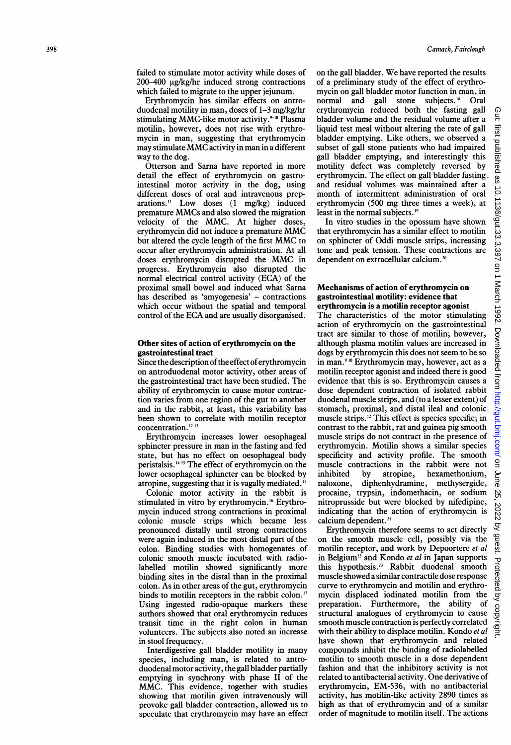failed to stimulate motor activity while doses of  $200-400$   $\mu$ g/kg/hr induced strong contractions which failed to migrate to the upper jejunum.

Erythromycin has similar effects on antroduodenal motility in man, doses of 1-3 mg/kg/hr stimulating MMC-like motor activity.<sup>9-10</sup> Plasma motilin, however, does not rise with erythromycin in man, suggesting that erythromycin may stimulate MMC activity in man in a different way to the dog.

Otterson and Sarna have reported in more detail the effect of erythromycin on gastrointestinal motor activity in the dog, using different doses of oral and intravenous preparations.'1 Low doses (1 mg/kg) induced premature MMCs and also slowed the migration velocity of the MMC. At higher doses, erythromycin did not induce a premature MM $\check{\rm C}$ but altered the cycle length of the first MMC to occur after erythromycin administration. At all doses erythromycin disrupted the MMC in progress. Erythromycin also disrupted the normal electrical control activity (ECA) of the proximal small bowel and induced what Sarna has described as 'amyogenesia' - contractions which occur without the spatial and temporal control of the ECA and are usually disorganised.

#### Other sites of action of erythromycin on the gastrointestinal tract

Since the description of the effect of erythromycin on antroduodenal motor activity, other areas of the gastrointestinal tract have been studied. The ability of erythromycin to cause motor contraction varies from one region of the gut to another and in the rabbit, at least, this variability has been shown to correlate with motilin receptor concentration. <sup>12</sup> <sup>13</sup>

Erythromycin increases lower oesophageal sphincter pressure in man in the fasting and fed state, but has no effect on oesophageal body peristalsis.<sup>14 15</sup> The effect of erythromycin on the lower oesophageal sphincter can be blocked by atropine, suggesting that it is vagally mediated.<sup>15</sup>

Colonic motor activity in the rabbit is stimulated in vitro by erythromycin." Erythromycin induced strong contractions in proximal colonic muscle strips which became less pronounced distally until strong contractions were again induced in the most distal part of the colon. Binding studies with homogenates of colonic smooth muscle incubated with radiolabelled motilin showed significantly more binding sites in the distal than in the proximal colon. As in other areas of the gut, erythromycin binds to motilin receptors in the rabbit colon."' Using ingested radio-opaque markers these authors showed that oral erythromycin reduces transit time in the right colon in human volunteers. The subjects also noted an increase in stool frequency.

Interdigestive gall bladder motility in many species, including man, is related to antroduodenal motor activity, the gall bladder partially emptying in synchrony with phase II of the MMC. This evidence, together with studies showing that motilin given intravenously will provoke gall bladder contraction, allowed us to speculate that erythromycin may have an effect

on the gall bladder. We have reported the results of a preliminary study of the effect of erythromycin on gall bladder motor function in man, in normal and gall stone subjects.<sup>18</sup> Oral erythromycin reduced both the fasting gall bladder volume and the residual volume after a liquid test meal without altering the rate of gall bladder emptying. Like others, we observed a subset of gall stone patients who had impaired gall bladder emptying, and interestingly this motility defect was completely reversed by erythromycin. The effect on gall bladder fasting. and residual volumes was maintained after a month of intermittent administration of oral erythromycin (500 mg three times a week), at least in the normal subjects.<sup>19</sup>

In vitro studies in the opossum have shown that erythromycin has a similar effect to motilin on sphincter of Oddi muscle strips, increasing tone and peak tension. These contractions are dependent on extracellular calcium.<sup>20</sup>

#### Mechanisms of action of erythromycin on gastrointestinal motility: evidence that erythromycin is a motilin receptor agonist

The characteristics of the motor stimulating action of erythromycin on the gastrointestinal tract are similar to those of motilin; however, although plasma motilin values are increased in dogs by erythromycin this does not seem to be so in man.9 '° Erythromycin may, however, act as a motilin receptor agonist and indeed there is good evidence that this is so. Erythromycin causes a dose dependent contraction of isolated rabbit duodenal muscle strips, and (to a lesser extent) of stomach, proximal, and distal ileal and colonic muscle strips.'2 This effect is species specific; in contrast to the rabbit, rat and guinea pig smooth muscle strips do not contract in the presence of erythromycin. Motilin shows a similar species specificity and activity profile. The smooth muscle contractions in the rabbit were not inhibited by atropine, hexamethonium, naloxone, diphenhydramine, methysergide, procaine, trypsin, indomethacin, or sodium nitroprusside but were blocked by nifedipine, indicating that the action of erythromycin is calcium dependent.<sup>21</sup>

Erythromycin therefore seems to act directly on the smooth muscle cell, possibly via the motilin receptor, and work by Depoortere et al in Belgium<sup>22</sup> and Kondo et al in Japan supports this hypothesis.23 Rabbit duodenal smooth muscle showed a similar contractile dose response curve to erythromycin and motilin and erythromycin displaced iodinated motilin from the preparation. Furthermore, the ability of structural analogues of erythromycin to cause smooth muscle contraction is perfectly correlated with their ability to displace motilin. Kondo et al have shown that erythromycin and related compounds inhibit the binding of radiolabelled motilin to smooth muscle in a dose dependent fashion and that the inhibitory activity is not related to antibacterial activity. One derivative of erythromycin, EM-536, with no antibacterial activity, has motilin-like activity 2890 times as high as that of erythromycin and of a similar order of magnitude to motilin itself. The actions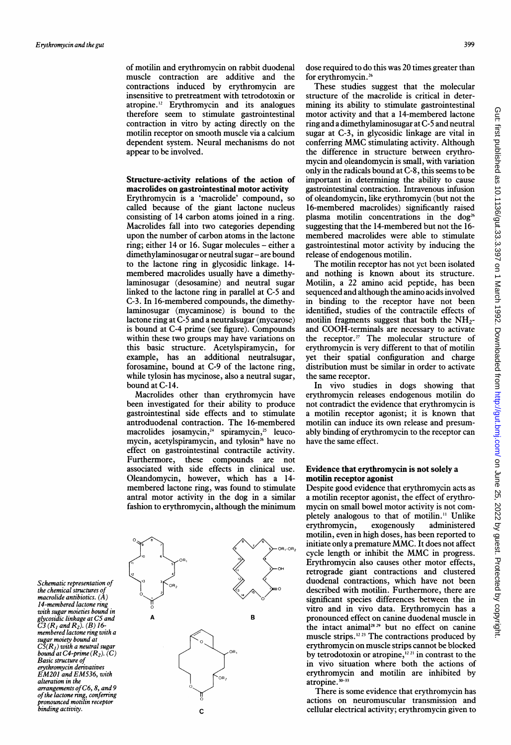of motilin and erythromycin on rabbit duodenal muscle contraction are additive and the contractions induced by erythromycin are insensitive to pretreatment with tetrodotoxin or atropine."2 Erythromycin and its analogues therefore seem to stimulate gastrointestinal contraction in vitro by acting directly on the motilin receptor on smooth muscle via a calcium dependent system. Neural mechanisms do not appear to be involved.

# Structure-activity relations of the action of macrolides on gastrointestinal motor activity

Erythromycin is a 'macrolide' compound, so called because of the giant lactone nucleus consisting of 14 carbon atoms joined in a ring. Macrolides fall into two categories depending upon the number of carbon atoms in the lactone ring; either 14 or 16. Sugar molecules – either a dimethylaminosugar or neutral sugar – are bound to the lactone ring in glycosidic linkage. 14 membered macrolides usually have a dimethylaminosugar (desosamine) and neutral sugar linked to the lactone ring in parallel at C-5 and C-3. In 16-membered compounds, the dimethylaminosugar (mycaminose) is bound to the lactone ring at C-5 and a neutralsugar (mycarose) is bound at C-4 prime (see figure). Compounds within these two groups may have variations on this basic structure. Acetylspiramycin, for example, has an additional neutralsugar, forosamine, bound at C-9 of the lactone ring, while tylosin has mycinose, also a neutral sugar, bound at C-14.

Macrolides other than erythromycin have been investigated for their ability to produce gastrointestinal side effects and to stimulate antroduodenal contraction. The 16-membered  $macro$ ides josamycin, $24$  spiramycin, $25$  leucomycin, acetylspiramycin, and tylosin<sup>26</sup> have no effect on gastrointestinal contractile activity. Furthermore, these compounds are not associated with side effects in clinical use. Oleandomycin, however, which has a 14 membered lactone ring, was found to stimulate antral motor activity in the dog in a similar fashion to erythromycin, although the minimum



dose required to do this was 20 times greater than for erythromycin.26

These studies suggest that the molecular structure of the macrolide is critical in determining its ability to stimulate gastrointestinal motor activity and that a 14-membered lactone ring and a dimethylaminosugar at C-S and neutral sugar at C-3, in glycosidic linkage are vital in conferring MMC stimulating activity. Although the difference in structure between erythromycin and oleandomycin is small, with variation only in the radicals bound at C-8, this seems to be important in determining the ability to cause gastrointestinal contraction. Intravenous infusion of oleandomycin, like erythromycin (but not the 16-membered macrolides) significantly raised plasma motilin concentrations in the dog<sup>26</sup> suggesting that the 14-membered but not the 16 membered macrolides were able to stimulate gastrointestinal motor activity by inducing the release of endogenous motilin.

The motilin receptor has not yet been isolated and nothing is known about its structure. Motilin, a 22 amino acid peptide, has been sequenced and although the amino acids involved in binding to the receptor have not been identified, studies of the contractile effects of motilin fragments suggest that both the  $NH_2$ and COOH-terminals are necessary to activate the receptor.<sup>27</sup> The molecular structure of erythromycin is very different to that of motilin yet their spatial configuration and charge distribution must be similar in order to activate the same receptor.

In vivo studies in dogs showing that erythromycin releases endogenous motilin do not contradict the evidence that erythromycin is a motilin receptor agonist; it is known that motilin can induce its own release and presumably binding of erythromycin to the receptor can have the same effect.

# Evidence that erythromycin is not solely a motilin receptor agonist

Despite good evidence that erythromycin acts as a motilin receptor agonist, the effect of erythromycin on small bowel motor activity is not completely analogous to that of motilin." Unlike erythromycin, exogenously administered motilin, even in high doses, has been reported to initiate only <sup>a</sup> premature MMC. It does not affect cycle length or inhibit the MMC in progress. Erythromycin also causes other motor effects, retrograde giant contractions and clustered duodenal contractions, which have not been described with motilin. Furthermore, there are significant species differences between the in vitro and in vivo data. Erythromycin has a pronounced effect on canine duodenal muscle in the intact animal<sup>28, 29</sup> but no effect on canine muscle strips.<sup>12.23</sup> The contractions produced by erythromycin on muscle strips cannot be blocked by tetrodotoxin or atropine,  $i^{221}$  in contrast to the in vivo situation where both the actions of erythromycin and motilin are inhibited by atropine. 30-33

There is some evidence that erythromycin has actions on neuromuscular transmission and cellular electrical activity; erythromycin given to

Schematic representation of the chemical structures of macrolide antibiotics. (A) 14-membered lactone ring with sugar moieties bound in glycosidic linkage at C5 and<br>C3 (R<sub>1</sub> and R<sub>2</sub>). (B) 16membered lactone ring with a sugar moiety bound at  $\widetilde{\mathcal{CS}}(R_I)$  with a neutral sugar bound at  $C4$ -prime  $(R_2)$ .  $(C)$ Basic structure of erythromycin derivatives EM201 and EM536, with alteration in the arrangements ofC6, 8, and 9 of the lactone ring, conferring<br>pronounced motilin receptor pronoum...<br>binding activity.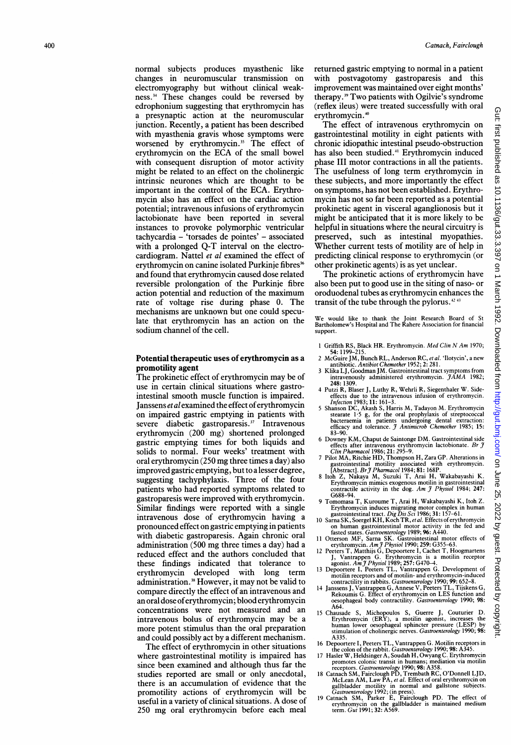normal subjects produces myasthenic like changes in neuromuscular transmission on electromyography but without clinical weakness.<sup>34</sup> These changes could be reversed by edrophonium suggesting that erythromycin has a presynaptic action at the neuromuscular junction. Recently, a patient has been described with myasthenia gravis whose symptoms were worsened by erythromycin.<sup>35</sup> The effect of erythromycin on the ECA of the small bowel with consequent disruption of motor activity might be related to an effect on the cholinergic intrinsic neurones which are thought to be important in the control of the ECA. Erythromycin also has an effect on the cardiac action potential; intravenous infusions of erythromycin lactobionate have been reported in several instances to provoke polymorphic ventricular tachycardia - 'torsades de pointes' - associated with a prolonged Q-T interval on the electrocardiogram. Nattel et al examined the effect of erythromycin on canine isolated Purkinje fibres<sup>36</sup> and found that erythromycin caused dose related reversible prolongation of the Purkinje fibre action potential and reduction of the maximum rate of voltage rise during phase 0. The mechanisms are unknown but one could speculate that erythromycin has an action on the sodium channel of the cell.

#### Potential therapeutic uses of erythromycin as a promotility agent

The prokinetic effect of erythromycin may be of use in certain clinical situations where gastrointestinal smooth muscle function is impaired. Janssens et al examined the effect of erythromycin on impaired gastric emptying in patients with severe diabetic gastroparesis.<sup>37</sup> Intravenous erythromycin (200 mg) shortened prolonged gastric emptying times for both liquids and solids to normal. Four weeks' treatment with oral erythromycin (250 mg three times a day) also improved gastric emptying, but to a lesser degree, suggesting tachyphylaxis. Three of the four patients who had reported symptoms related to gastroparesis were improved with erythromycin. Similar findings were reported with a single intravenous dose of erythromycin having a pronounced effect on gastric emptying in patients with diabetic gastroparesis. Again chronic oral administration (500 mg three times a day) had a reduced effect and the authors concluded that these findings indicated that tolerance to erythromycin developed with long term administration.<sup>38</sup> However, it may not be valid to compare directly the effect of an intravenous and an oral dose oferythromycin; blood erythromycin concentrations were not measured and an intravenous bolus of erythromycin may be a more potent stimulus than the oral preparation and could possibly act by a different mechanism.

The effect of erythromycin in other situations where gastrointestinal motility is impaired has since been examined and although thus far the studies reported are small or only anecdotal, there is an accumulation of evidence that the promotility actions of erythromycin will be useful in a variety of clinical situations. A dose of 250 mg oral erythromycin before each meal

returned gastric emptying to normal in a patient with postvagotomy gastroparesis and this improvement was maintained over eight months' therapy.39 Two patients with Ogilvie's syndrome (reflex ileus) were treated successfully with oral erythromycin.<sup>40</sup>

The effect of intravenous erythromycin on gastrointestinal motility in eight patients with chronic idiopathic intestinal pseudo-obstruction has also been studied.<sup>41</sup> Erythromycin induced phase III motor contractions in all the patients. The usefulness of long term erythromycin in these subjects, and more importantly the effect on symptoms, has not been established. Erythromycin has not so far been reported as a potential prokinetic agent in visceral aganglionosis but it might be anticipated that it is more likely to be helpful in situations where the neural circuitry is preserved, such as intestinal myopathies. Whether current tests of motility are of help in predicting clinical response to erythromycin (or other prokinetic agents) is as yet unclear.

The prokinetic actions of erythromycin have also been put to good use in the siting of naso- or oroduodenal tubes as erythromycin enhances the transit of the tube through the pylorus.<sup>42,43</sup>

We would like to thank the Joint Research Board of St Bartholomew's Hospital and The Rahere Association for financial support.

- 1 Griffith RS, Black HR. Erythromycin. Med Clin N Am 1970;
- 54: 1199-215. 2 McGuire JM, Bunch RL, Anderson RC, et al. 'Ilotycin', a new
- antibiotic. Antibiot Chemother 1952; 2: 281. <sup>3</sup> Klika LJ, Goodman JM. Gastrointestinal tract symptoms from intravenously administered erythromycin.  $\hat{\jmath}$ AMA 1982; 248: 1309.
- 4 Putzi R, Blaser J, Luthy R, Wehrli R, Siegenthaler W. Side-effects due to the intravenous infusion of erythromycin.
- *Injection* 1985; 11: 161–5.<br>
S Shanson DC, Akash S, Harris M, Tadayon M. Erythromycin<br>
stearate 1.5 g, for the oral prophylaxis of streptococcal<br>
bacteraemia in patients undergoing dental extraction:<br>
efficacy and toleran
- 83-90.<br>
6 Downey KM, Chaput de Saintonge DM. Gastrointestinal side<br>
effects after intravenous erythromycin lactobionate. *Br J*<br> *Clin Pharmacol* 1986; 21: 295-9.<br>
7 Pilot MA, Ritchie HD, Thompson H, Zara GP. Alterations i
- gastrointestinal motility associated with erythromycin.<br>[Abstract]. *Br J Pharmacol* 1984; 81: 168P.
- 8 Itoh Z, Nakaya M, Suzuki T, Arai H, Wakabayashi K.<br>8 Itoh Z, Nakaya M, Suzuki T, Arai H, Wakabayashi K. Erythromycin mimics exogenous motilin in gastrointestinal<br>contractile activity in the dog. Am J Physiol 1984; 247:<br>G688–94.
- 9 Tomomasa T, Kuroume T, Arai H, Wakabayashi K, Itoh Z. Erythromycin induces migrating motor complex in human gastrointestinal tract. Dig Dis Sci 1986; 31: 157-61. <sup>10</sup> Sarna SK, Soergel KH, Koch TR, etal. Effects oferythromycin
- 
- 
- on human gastrointestinal motor activity in the fed and<br>
fasted states. *Gastroenterology* 1989; 96: A440.<br>
Otterson MF, Sarna SK. Gastrointestinal motor effects of<br>
erythromycin. Am J Physiol 1990; 259: G355-63.<br>
12 Peete
- 
- motilin receptors and of motilin- and erythromycin-induced<br>contractility in rabbits. *Gastroenterology* 1990; 652–8.<br>14 Janssens J, Vantrappen G, Annese V, Peeters TL, Tijskens G,<br>Rekoumis G. Effect of erythromycin on LES oesophageal body contractility. Gastroenterology 1990; 98: A64.<br>15 Chausade S,
- 15 Chausade S, Michopoulos S, Guerre J, Couturier D.<br>
Erythromycin (ERY), a motilin agonist, increases the<br>
human lower oesophageal sphincter pressure (LESP) by<br>
stimulation of cholinergic nerves. Gastroenterology 1990; 98 A335.
- 16 Depoortere I, Peeters TL, Vantrappen G. Motilin receptors in
- the colon of the rabbit. *Gastroenterology* 1990; 98: A345.<br>17 Hasler W, Heldsinger A, Soudah H, Owyang C. Erythromycin
- promotes colonic transit in humans; mediaton via motilin<br>Teceptors. *Gastroenterology* 1990; 98: A358.<br>18 Catnach SM, Fairclough PD, Trembath RC, O'Donnell LJD,<br>McLean AM, Law PA, *et al.* Effect of oral erythromycin on<br>ga
-